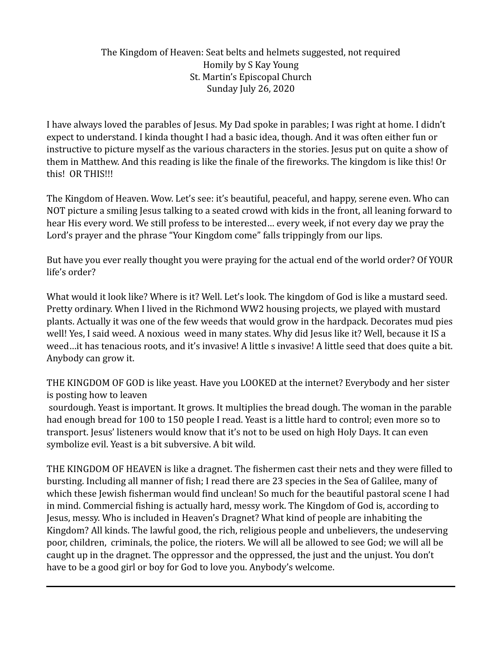## The Kingdom of Heaven: Seat belts and helmets suggested, not required Homily by S Kay Young St. Martin's Episcopal Church Sunday July 26, 2020

I have always loved the parables of Jesus. My Dad spoke in parables; I was right at home. I didn't expect to understand. I kinda thought I had a basic idea, though. And it was often either fun or instructive to picture myself as the various characters in the stories. Jesus put on quite a show of them in Matthew. And this reading is like the finale of the fireworks. The kingdom is like this! Or this! OR THIS!!!

The Kingdom of Heaven. Wow. Let's see: it's beautiful, peaceful, and happy, serene even. Who can NOT picture a smiling Jesus talking to a seated crowd with kids in the front, all leaning forward to hear His every word. We still profess to be interested… every week, if not every day we pray the Lord's prayer and the phrase "Your Kingdom come" falls trippingly from our lips.

But have you ever really thought you were praying for the actual end of the world order? Of YOUR life's order?

What would it look like? Where is it? Well. Let's look. The kingdom of God is like a mustard seed. Pretty ordinary. When I lived in the Richmond WW2 housing projects, we played with mustard plants. Actually it was one of the few weeds that would grow in the hardpack. Decorates mud pies well! Yes, I said weed. A noxious weed in many states. Why did Jesus like it? Well, because it IS a weed…it has tenacious roots, and it's invasive! A little s invasive! A little seed that does quite a bit. Anybody can grow it.

THE KINGDOM OF GOD is like yeast. Have you LOOKED at the internet? Everybody and her sister is posting how to leaven

 sourdough. Yeast is important. It grows. It multiplies the bread dough. The woman in the parable had enough bread for 100 to 150 people I read. Yeast is a little hard to control; even more so to transport. Jesus' listeners would know that it's not to be used on high Holy Days. It can even symbolize evil. Yeast is a bit subversive. A bit wild.

THE KINGDOM OF HEAVEN is like a dragnet. The fishermen cast their nets and they were filled to bursting. Including all manner of fish; I read there are 23 species in the Sea of Galilee, many of which these Jewish fisherman would find unclean! So much for the beautiful pastoral scene I had in mind. Commercial fishing is actually hard, messy work. The Kingdom of God is, according to Jesus, messy. Who is included in Heaven's Dragnet? What kind of people are inhabiting the Kingdom? All kinds. The lawful good, the rich, religious people and unbelievers, the undeserving poor, children, criminals, the police, the rioters. We will all be allowed to see God; we will all be caught up in the dragnet. The oppressor and the oppressed, the just and the unjust. You don't have to be a good girl or boy for God to love you. Anybody's welcome.